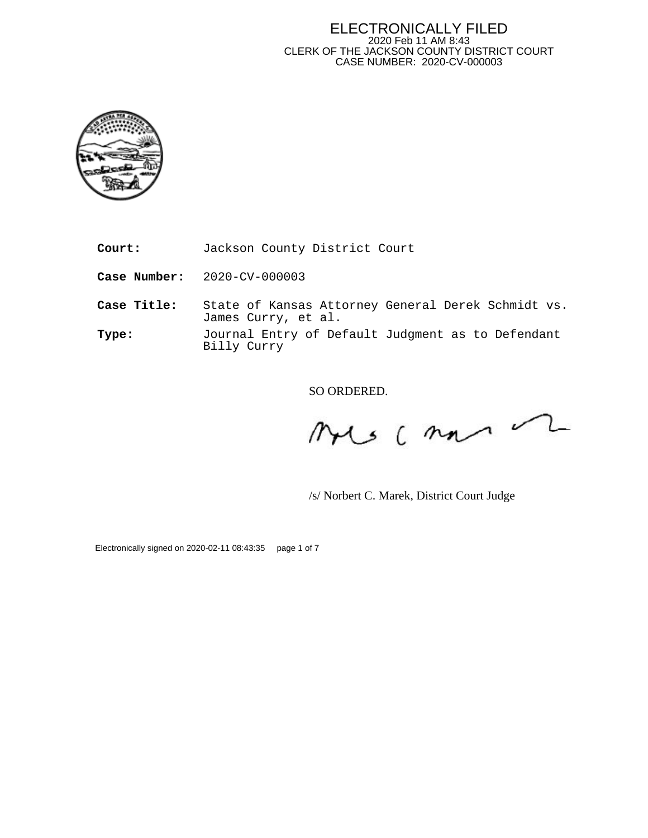#### ELECTRONICALLY FILED 2020 Feb 11 AM 8:43 CLERK OF THE JACKSON COUNTY DISTRICT COURT CASE NUMBER: 2020-CV-000003



**Court:** Jackson County District Court

**Case Number:** 2020-CV-000003

**Case Title:** State of Kansas Attorney General Derek Schmidt vs. James Curry, et al.

**Type:** Journal Entry of Default Judgment as to Defendant Billy Curry

SO ORDERED.

 $usc$  man  $\curvearrowright$ 

/s/ Norbert C. Marek, District Court Judge

Electronically signed on 2020-02-11 08:43:35 page 1 of 7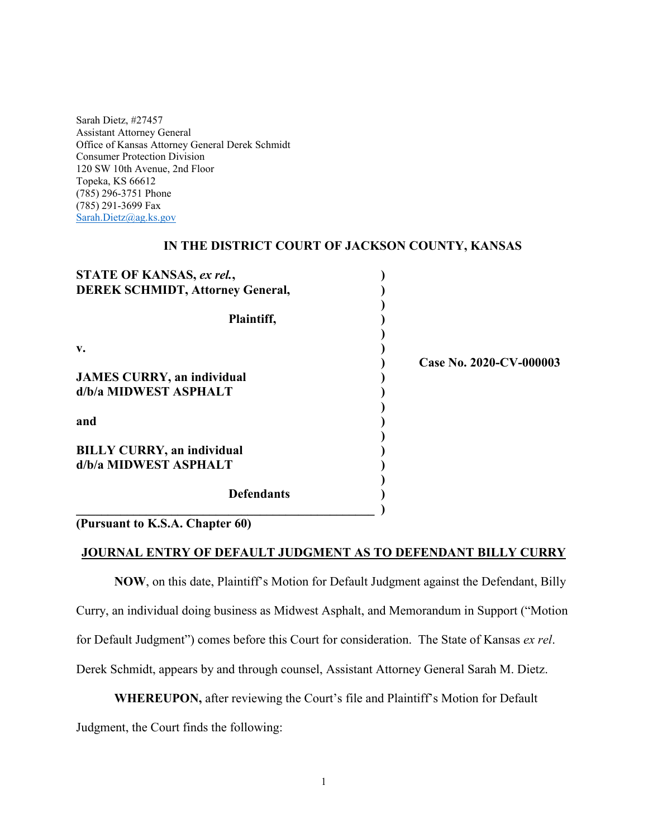Sarah Dietz, #27457 Assistant Attorney General Office of Kansas Attorney General Derek Schmidt Consumer Protection Division 120 SW 10th Avenue, 2nd Floor Topeka, KS 66612 (785) 296-3751 Phone (785) 291-3699 Fax [Sarah.Dietz@ag.ks.gov](mailto:Sarah.Dietz@ag.ks.gov)

#### **IN THE DISTRICT COURT OF JACKSON COUNTY, KANSAS**

| STATE OF KANSAS, ex rel.,               |                         |
|-----------------------------------------|-------------------------|
| <b>DEREK SCHMIDT, Attorney General,</b> |                         |
| Plaintiff,                              |                         |
| v.                                      | Case No. 2020-CV-000003 |
| <b>JAMES CURRY, an individual</b>       |                         |
| d/b/a MIDWEST ASPHALT                   |                         |
| and                                     |                         |
| <b>BILLY CURRY, an individual</b>       |                         |
| d/b/a MIDWEST ASPHALT                   |                         |
| <b>Defendants</b>                       |                         |

**(Pursuant to K.S.A. Chapter 60)** 

#### **JOURNAL ENTRY OF DEFAULT JUDGMENT AS TO DEFENDANT BILLY CURRY**

**NOW**, on this date, Plaintiff's Motion for Default Judgment against the Defendant, Billy Curry, an individual doing business as Midwest Asphalt, and Memorandum in Support ("Motion for Default Judgment") comes before this Court for consideration. The State of Kansas *ex rel*. Derek Schmidt, appears by and through counsel, Assistant Attorney General Sarah M. Dietz.

**WHEREUPON,** after reviewing the Court's file and Plaintiff's Motion for Default

Judgment, the Court finds the following: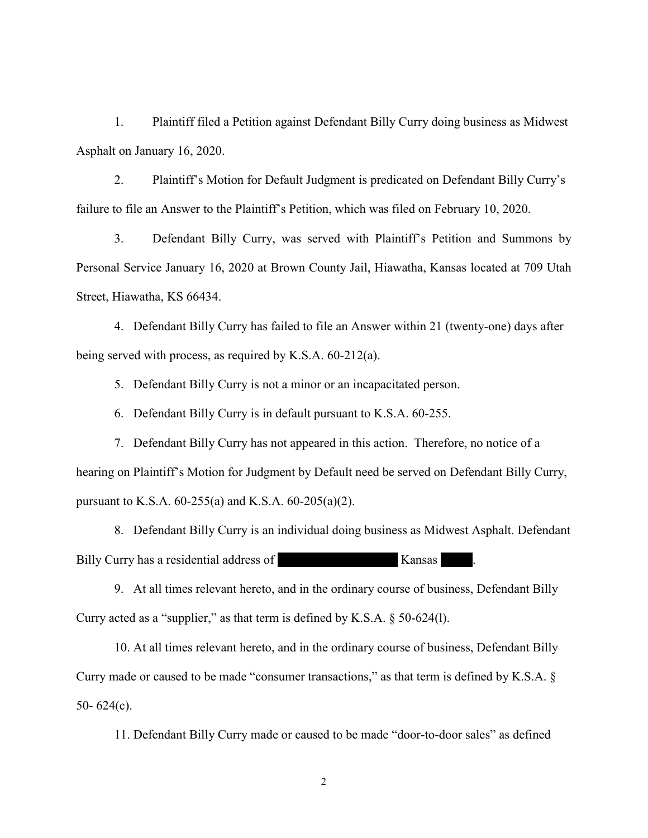1. Plaintiff filed a Petition against Defendant Billy Curry doing business as Midwest Asphalt on January 16, 2020.

2. Plaintiff's Motion for Default Judgment is predicated on Defendant Billy Curry's failure to file an Answer to the Plaintiff's Petition, which was filed on February 10, 2020.

3. Defendant Billy Curry, was served with Plaintiff's Petition and Summons by Personal Service January 16, 2020 at Brown County Jail, Hiawatha, Kansas located at 709 Utah Street, Hiawatha, KS 66434.

4. Defendant Billy Curry has failed to file an Answer within 21 (twenty-one) days after being served with process, as required by K.S.A. 60-212(a).

5. Defendant Billy Curry is not a minor or an incapacitated person.

6. Defendant Billy Curry is in default pursuant to K.S.A. 60-255.

7. Defendant Billy Curry has not appeared in this action. Therefore, no notice of a hearing on Plaintiff's Motion for Judgment by Default need be served on Defendant Billy Curry, pursuant to K.S.A. 60-255(a) and K.S.A. 60-205(a)(2).

8. Defendant Billy Curry is an individual doing business as Midwest Asphalt. Defendant Billy Curry has a residential address of 2401 Kansas 6101 Lincoln Dr. Kansas 6101 Lincoln Dr. Hays, Kansas 67801.

9. At all times relevant hereto, and in the ordinary course of business, Defendant Billy Curry acted as a "supplier," as that term is defined by K.S.A. § 50-624(l).

10. At all times relevant hereto, and in the ordinary course of business, Defendant Billy Curry made or caused to be made "consumer transactions," as that term is defined by K.S.A. § 50-  $624(c)$ .

11. Defendant Billy Curry made or caused to be made "door-to-door sales" as defined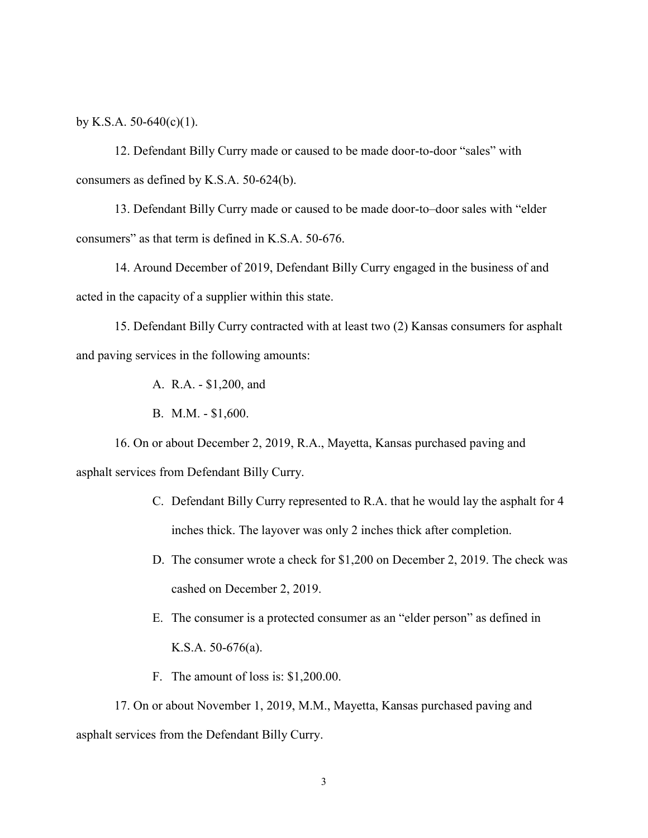by K.S.A.  $50-640(c)(1)$ .

12. Defendant Billy Curry made or caused to be made door-to-door "sales" with consumers as defined by K.S.A. 50-624(b).

13. Defendant Billy Curry made or caused to be made door-to–door sales with "elder consumers" as that term is defined in K.S.A. 50-676.

14. Around December of 2019, Defendant Billy Curry engaged in the business of and acted in the capacity of a supplier within this state.

15. Defendant Billy Curry contracted with at least two (2) Kansas consumers for asphalt and paving services in the following amounts:

A. R.A. - \$1,200, and

B. M.M. - \$1,600.

16. On or about December 2, 2019, R.A., Mayetta, Kansas purchased paving and asphalt services from Defendant Billy Curry.

- C. Defendant Billy Curry represented to R.A. that he would lay the asphalt for 4 inches thick. The layover was only 2 inches thick after completion.
- D. The consumer wrote a check for \$1,200 on December 2, 2019. The check was cashed on December 2, 2019.
- E. The consumer is a protected consumer as an "elder person" as defined in K.S.A. 50-676(a).
- F. The amount of loss is: \$1,200.00.

17. On or about November 1, 2019, M.M., Mayetta, Kansas purchased paving and asphalt services from the Defendant Billy Curry.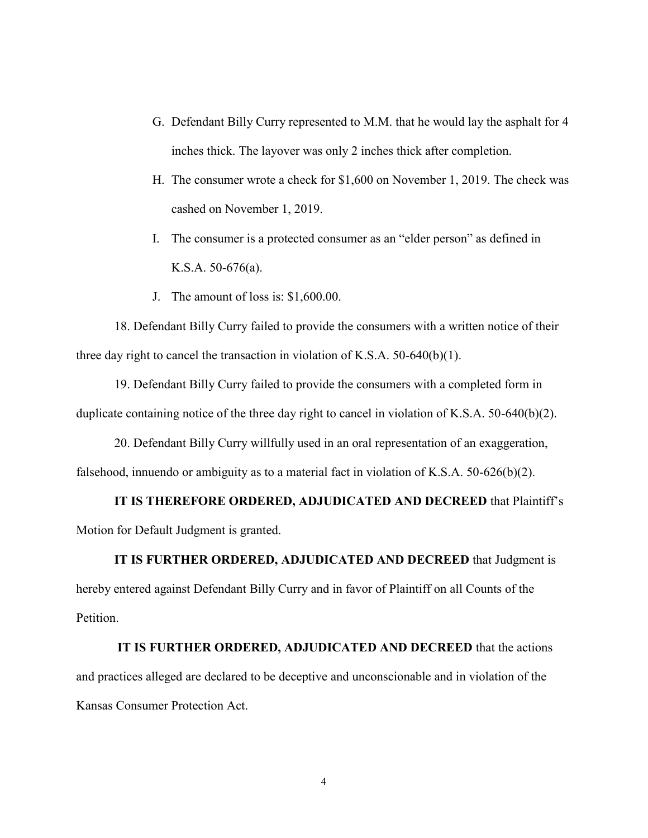- G. Defendant Billy Curry represented to M.M. that he would lay the asphalt for 4 inches thick. The layover was only 2 inches thick after completion.
- H. The consumer wrote a check for \$1,600 on November 1, 2019. The check was cashed on November 1, 2019.
- I. The consumer is a protected consumer as an "elder person" as defined in K.S.A. 50-676(a).
- J. The amount of loss is: \$1,600.00.

18. Defendant Billy Curry failed to provide the consumers with a written notice of their three day right to cancel the transaction in violation of K.S.A. 50-640(b)(1).

19. Defendant Billy Curry failed to provide the consumers with a completed form in duplicate containing notice of the three day right to cancel in violation of K.S.A. 50-640(b)(2).

20. Defendant Billy Curry willfully used in an oral representation of an exaggeration, falsehood, innuendo or ambiguity as to a material fact in violation of K.S.A.  $50-626(b)(2)$ .

**IT IS THEREFORE ORDERED, ADJUDICATED AND DECREED** that Plaintiff's Motion for Default Judgment is granted.

## **IT IS FURTHER ORDERED, ADJUDICATED AND DECREED** that Judgment is

hereby entered against Defendant Billy Curry and in favor of Plaintiff on all Counts of the Petition.

**IT IS FURTHER ORDERED, ADJUDICATED AND DECREED** that the actions and practices alleged are declared to be deceptive and unconscionable and in violation of the Kansas Consumer Protection Act.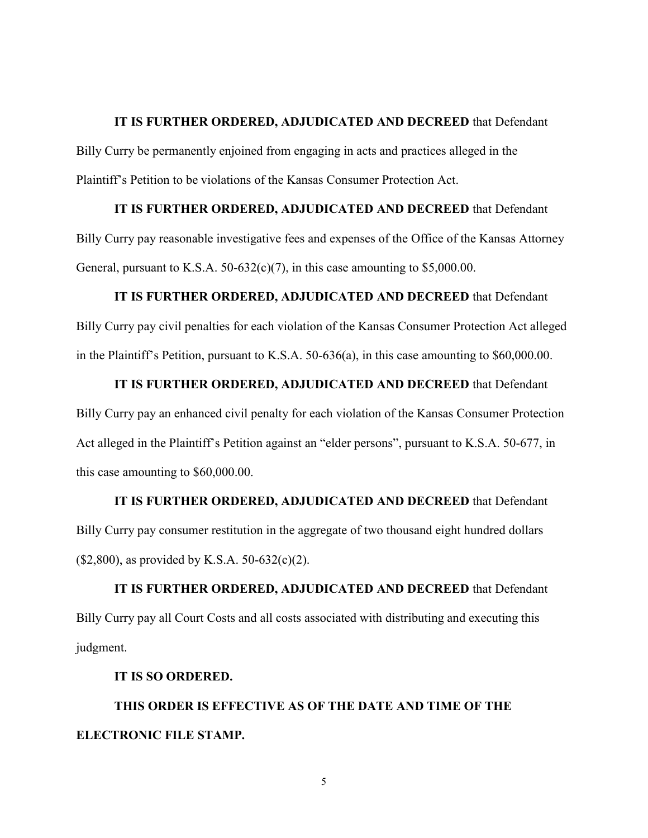#### **IT IS FURTHER ORDERED, ADJUDICATED AND DECREED** that Defendant

Billy Curry be permanently enjoined from engaging in acts and practices alleged in the Plaintiff's Petition to be violations of the Kansas Consumer Protection Act.

### **IT IS FURTHER ORDERED, ADJUDICATED AND DECREED** that Defendant

Billy Curry pay reasonable investigative fees and expenses of the Office of the Kansas Attorney General, pursuant to K.S.A.  $50-632(c)(7)$ , in this case amounting to \$5,000.00.

#### **IT IS FURTHER ORDERED, ADJUDICATED AND DECREED** that Defendant

Billy Curry pay civil penalties for each violation of the Kansas Consumer Protection Act alleged in the Plaintiff's Petition, pursuant to K.S.A. 50-636(a), in this case amounting to \$60,000.00.

#### **IT IS FURTHER ORDERED, ADJUDICATED AND DECREED** that Defendant

Billy Curry pay an enhanced civil penalty for each violation of the Kansas Consumer Protection Act alleged in the Plaintiff's Petition against an "elder persons", pursuant to K.S.A. 50-677, in this case amounting to \$60,000.00.

# **IT IS FURTHER ORDERED, ADJUDICATED AND DECREED** that Defendant Billy Curry pay consumer restitution in the aggregate of two thousand eight hundred dollars  $($2,800)$ , as provided by K.S.A. 50-632(c)(2).

**IT IS FURTHER ORDERED, ADJUDICATED AND DECREED** that Defendant Billy Curry pay all Court Costs and all costs associated with distributing and executing this judgment.

### **IT IS SO ORDERED.**

**THIS ORDER IS EFFECTIVE AS OF THE DATE AND TIME OF THE ELECTRONIC FILE STAMP.**